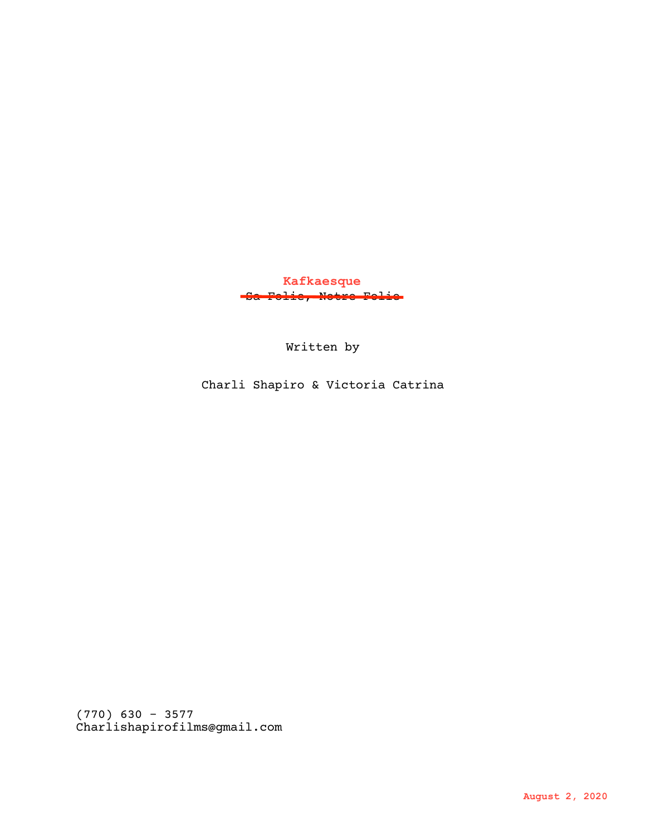Sa Folie, Notre Folie **Kafkaesque**

Written by

Charli Shapiro & Victoria Catrina

(770) 630 - 3577 Charlishapirofilms@gmail.com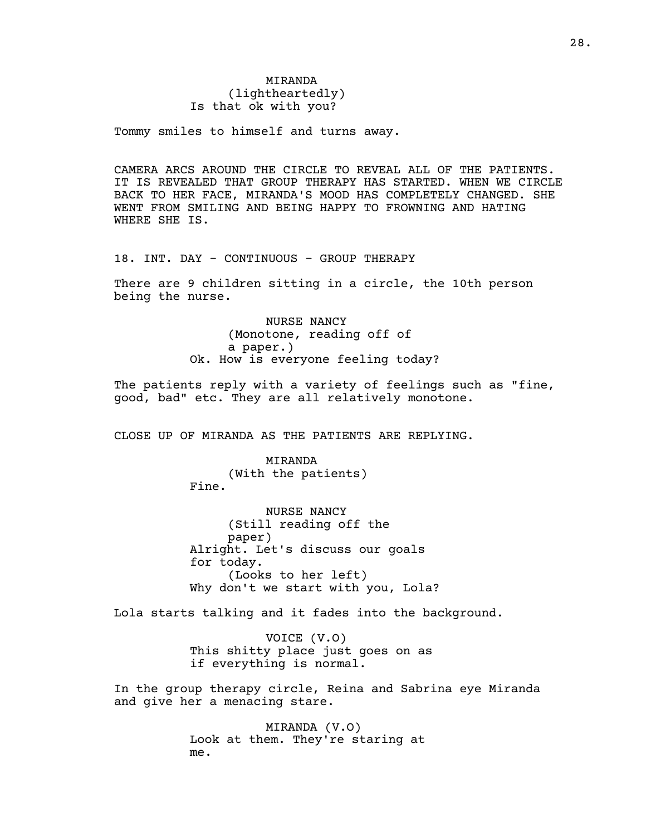## MIRANDA (lightheartedly) Is that ok with you?

Tommy smiles to himself and turns away.

CAMERA ARCS AROUND THE CIRCLE TO REVEAL ALL OF THE PATIENTS. IT IS REVEALED THAT GROUP THERAPY HAS STARTED. WHEN WE CIRCLE BACK TO HER FACE, MIRANDA'S MOOD HAS COMPLETELY CHANGED. SHE WENT FROM SMILING AND BEING HAPPY TO FROWNING AND HATING WHERE SHE IS.

18. INT. DAY - CONTINUOUS - GROUP THERAPY

There are 9 children sitting in a circle, the 10th person being the nurse.

> NURSE NANCY (Monotone, reading off of a paper.) Ok. How is everyone feeling today?

The patients reply with a variety of feelings such as "fine, good, bad" etc. They are all relatively monotone.

CLOSE UP OF MIRANDA AS THE PATIENTS ARE REPLYING.

MIRANDA (With the patients) Fine.

NURSE NANCY (Still reading off the paper) Alright. Let's discuss our goals for today. (Looks to her left) Why don't we start with you, Lola?

Lola starts talking and it fades into the background.

VOICE (V.O) This shitty place just goes on as if everything is normal.

In the group therapy circle, Reina and Sabrina eye Miranda and give her a menacing stare.

> MIRANDA (V.O) Look at them. They're staring at me.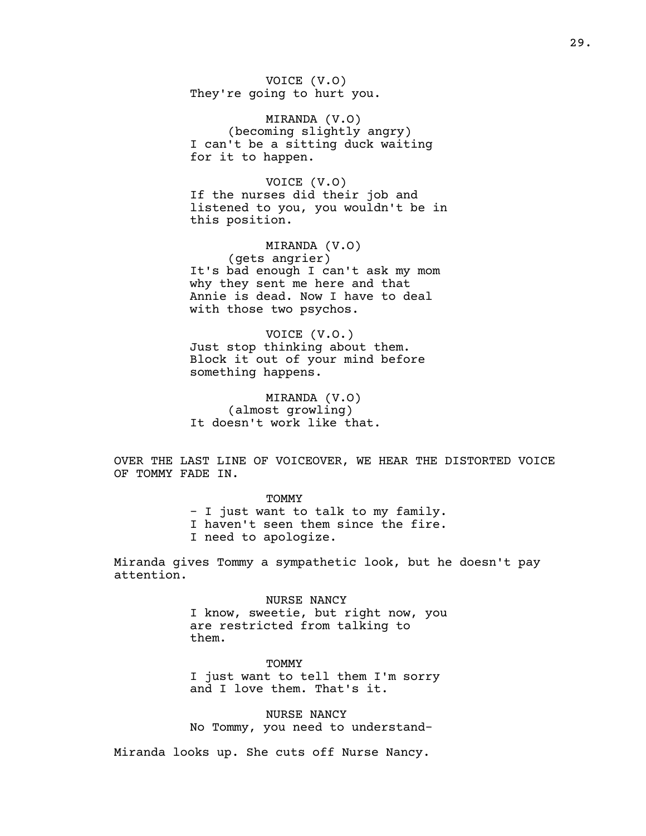VOICE (V.O) They're going to hurt you.

MIRANDA (V.O) (becoming slightly angry) I can't be a sitting duck waiting for it to happen.

VOICE (V.O) If the nurses did their job and listened to you, you wouldn't be in this position.

MIRANDA (V.O) (gets angrier) It's bad enough I can't ask my mom why they sent me here and that Annie is dead. Now I have to deal with those two psychos.

VOICE (V.O.) Just stop thinking about them. Block it out of your mind before something happens.

MIRANDA (V.O) (almost growling) It doesn't work like that.

OVER THE LAST LINE OF VOICEOVER, WE HEAR THE DISTORTED VOICE OF TOMMY FADE IN.

TOMMY

- I just want to talk to my family. I haven't seen them since the fire. I need to apologize.

Miranda gives Tommy a sympathetic look, but he doesn't pay attention.

> NURSE NANCY I know, sweetie, but right now, you are restricted from talking to them.

TOMMY I just want to tell them I'm sorry and I love them. That's it.

NURSE NANCY No Tommy, you need to understand-

Miranda looks up. She cuts off Nurse Nancy.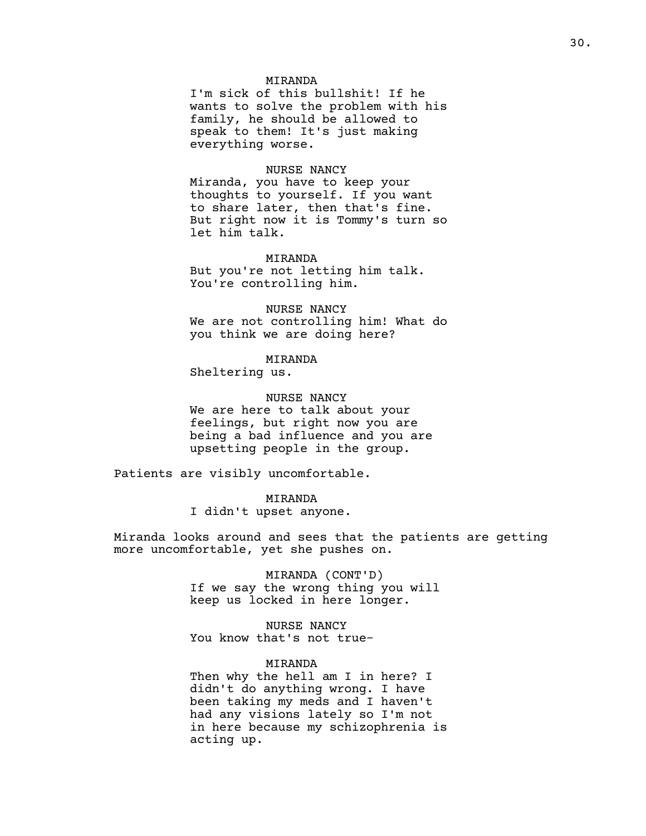### MIRANDA

I'm sick of this bullshit! If he wants to solve the problem with his family, he should be allowed to speak to them! It's just making everything worse.

### NURSE NANCY

Miranda, you have to keep your thoughts to yourself. If you want to share later, then that's fine. But right now it is Tommy's turn so let him talk.

### MIRANDA

But you're not letting him talk. You're controlling him.

## NURSE NANCY We are not controlling him! What do you think we are doing here?

### MIRANDA

Sheltering us.

## NURSE NANCY

We are here to talk about your feelings, but right now you are being a bad influence and you are upsetting people in the group.

Patients are visibly uncomfortable.

### MIRANDA

I didn't upset anyone.

Miranda looks around and sees that the patients are getting more uncomfortable, yet she pushes on.

> MIRANDA (CONT'D) If we say the wrong thing you will keep us locked in here longer.

NURSE NANCY You know that's not true-

### MIRANDA

Then why the hell am I in here? I didn't do anything wrong. I have been taking my meds and I haven't had any visions lately so I'm not in here because my schizophrenia is acting up.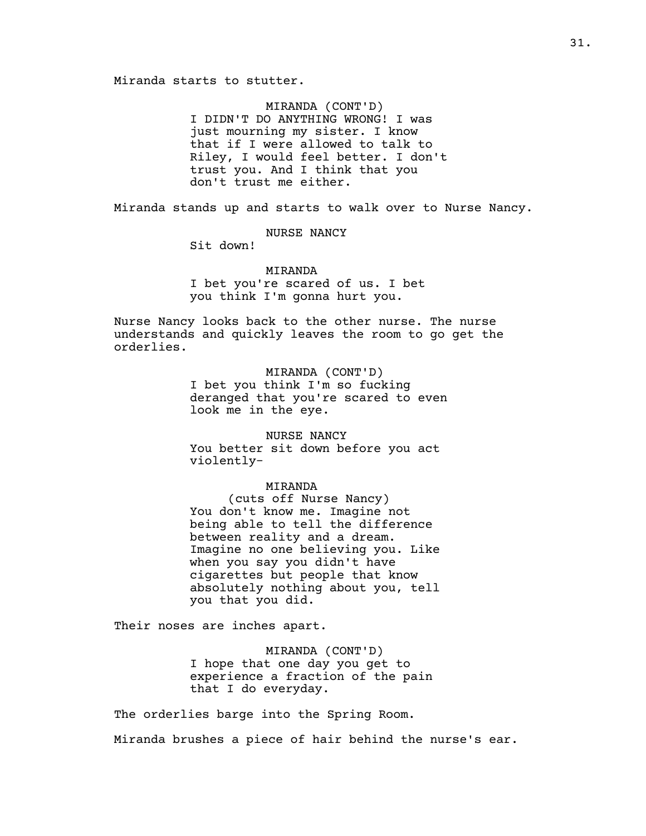### MIRANDA (CONT'D)

I DIDN'T DO ANYTHING WRONG! I was just mourning my sister. I know that if I were allowed to talk to Riley, I would feel better. I don't trust you. And I think that you don't trust me either.

Miranda stands up and starts to walk over to Nurse Nancy.

NURSE NANCY

Sit down!

### MIRANDA

I bet you're scared of us. I bet you think I'm gonna hurt you.

Nurse Nancy looks back to the other nurse. The nurse understands and quickly leaves the room to go get the orderlies.

### MIRANDA (CONT'D)

I bet you think I'm so fucking deranged that you're scared to even look me in the eye.

### NURSE NANCY

You better sit down before you act violently-

### MIRANDA

(cuts off Nurse Nancy) You don't know me. Imagine not being able to tell the difference between reality and a dream. Imagine no one believing you. Like when you say you didn't have cigarettes but people that know absolutely nothing about you, tell you that you did.

Their noses are inches apart.

MIRANDA (CONT'D) I hope that one day you get to experience a fraction of the pain that I do everyday.

The orderlies barge into the Spring Room.

Miranda brushes a piece of hair behind the nurse's ear.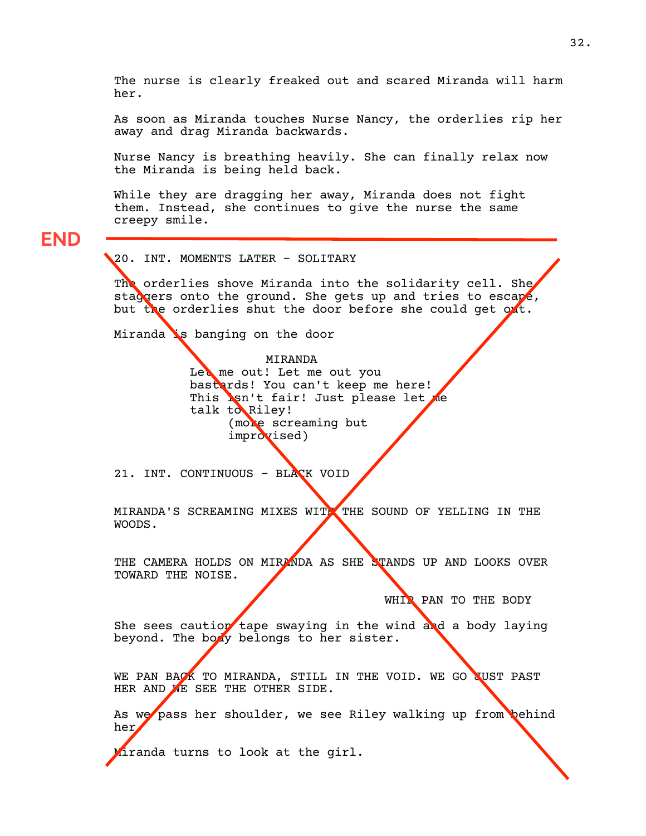The nurse is clearly freaked out and scared Miranda will harm her. As soon as Miranda touches Nurse Nancy, the orderlies rip her away and drag Miranda backwards. Nurse Nancy is breathing heavily. She can finally relax now the Miranda is being held back. While they are dragging her away, Miranda does not fight them. Instead, she continues to give the nurse the same creepy smile. 20. INT. MOMENTS LATER - SOLITARY The orderlies shove Miranda into the solidarity cell. She staggers onto the ground. She gets up and tries to escape, but the orderlies shut the door before she could get out. Miranda is banging on the door MIRANDA Let me out! Let me out you bastards! You can't keep me here! This isn't fair! Just please let me talk to Riley! (more screaming but improvised) 21. INT. CONTINUOUS - BLACK VOID MIRANDA'S SCREAMING MIXES WITH THE SOUND OF YELLING IN THE WOODS. THE CAMERA HOLDS ON MIRANDA AS SHE STANDS UP AND LOOKS OVER TOWARD THE NOISE. WHIP PAN TO THE BODY She sees caution tape swaying in the wind and a body laying beyond. The body belongs to her sister. WE PAN BACK TO MIRANDA, STILL IN THE VOID. WE GO JUST PAST HER AND WE SEE THE OTHER SIDE. As we pass her shoulder, we see Riley walking up from behind her. Miranda turns to look at the girl. **END**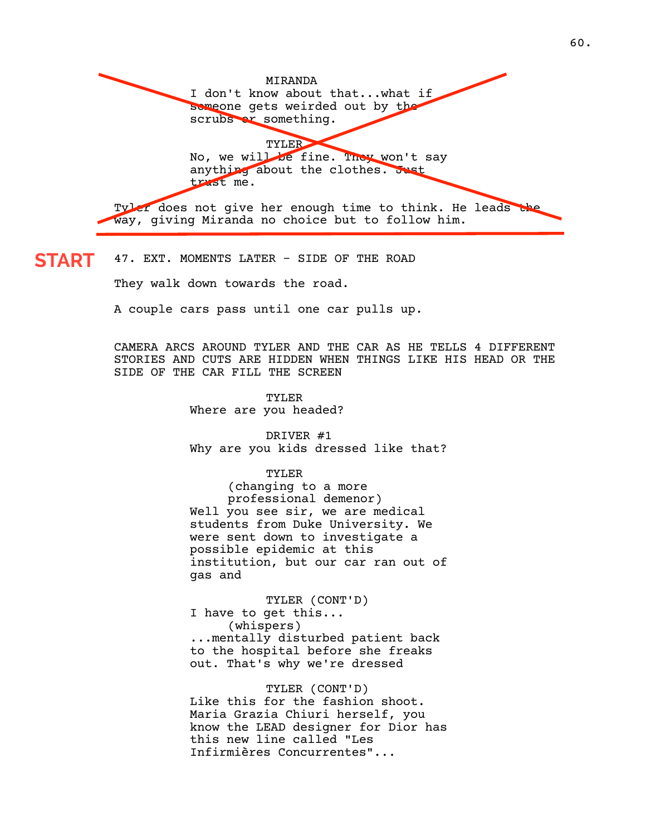

# START 47. EXT. MOMENTS LATER - SIDE OF THE ROAD

They walk down towards the road.

A couple cars pass until one car pulls up.

CAMERA ARCS AROUND TYLER AND THE CAR AS HE TELLS 4 DIFFERENT STORIES AND CUTS ARE HIDDEN WHEN THINGS LIKE HIS HEAD OR THE SIDE OF THE CAR FILL THE SCREEN

> TYLER Where are you headed?

DRIVER #1 Why are you kids dressed like that?

TYLER

(changing to a more professional demenor) Well you see sir, we are medical students from Duke University. We were sent down to investigate a possible epidemic at this institution, but our car ran out of gas and

TYLER (CONT'D) I have to get this... (whispers) ...mentally disturbed patient back to the hospital before she freaks out. That's why we're dressed

TYLER (CONT'D) Like this for the fashion shoot. Maria Grazia Chiuri herself, you know the LEAD designer for Dior has this new line called "Les Infirmières Concurrentes"...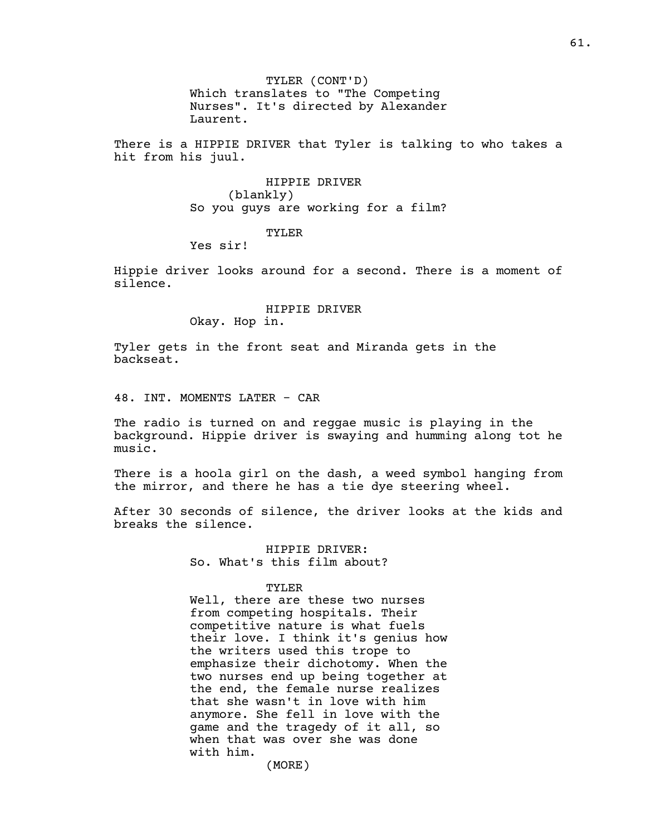TYLER (CONT'D) Which translates to "The Competing Nurses". It's directed by Alexander Laurent.

There is a HIPPIE DRIVER that Tyler is talking to who takes a hit from his juul.

> HIPPIE DRIVER (blankly) So you guys are working for a film?

### TYLER

Yes sir!

Hippie driver looks around for a second. There is a moment of silence.

### HIPPIE DRIVER

Okay. Hop in.

Tyler gets in the front seat and Miranda gets in the backseat.

48. INT. MOMENTS LATER - CAR

The radio is turned on and reggae music is playing in the background. Hippie driver is swaying and humming along tot he music.

There is a hoola girl on the dash, a weed symbol hanging from the mirror, and there he has a tie dye steering wheel.

After 30 seconds of silence, the driver looks at the kids and breaks the silence.

> HIPPIE DRIVER: So. What's this film about?

### TYLER

Well, there are these two nurses from competing hospitals. Their competitive nature is what fuels their love. I think it's genius how the writers used this trope to emphasize their dichotomy. When the two nurses end up being together at the end, the female nurse realizes that she wasn't in love with him anymore. She fell in love with the game and the tragedy of it all, so when that was over she was done with him.

(MORE)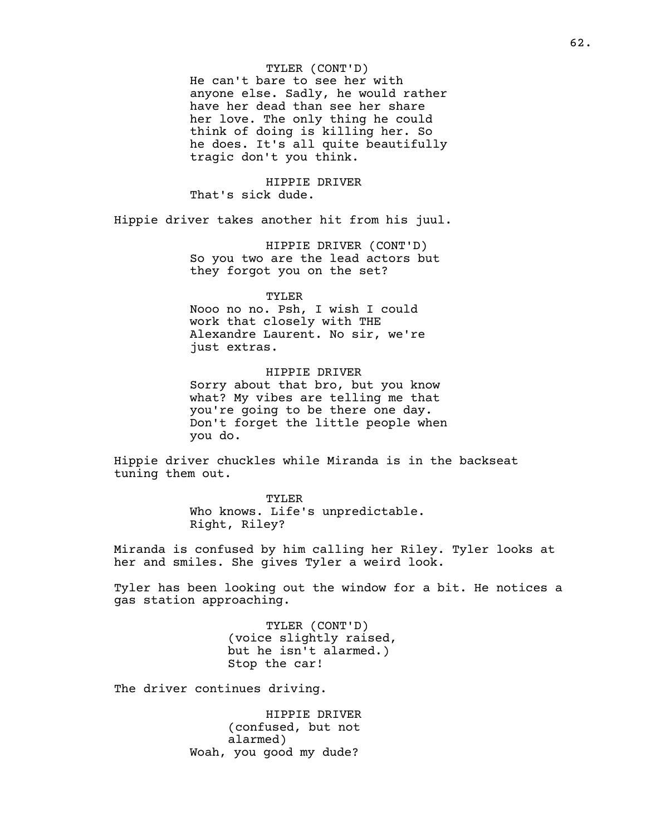### TYLER (CONT'D)

He can't bare to see her with anyone else. Sadly, he would rather have her dead than see her share her love. The only thing he could think of doing is killing her. So he does. It's all quite beautifully tragic don't you think.

HIPPIE DRIVER That's sick dude.

Hippie driver takes another hit from his juul.

HIPPIE DRIVER (CONT'D) So you two are the lead actors but they forgot you on the set?

## TYLER

Nooo no no. Psh, I wish I could work that closely with THE Alexandre Laurent. No sir, we're just extras.

HIPPIE DRIVER Sorry about that bro, but you know what? My vibes are telling me that you're going to be there one day. Don't forget the little people when you do.

Hippie driver chuckles while Miranda is in the backseat tuning them out.

> TYLER Who knows. Life's unpredictable. Right, Riley?

Miranda is confused by him calling her Riley. Tyler looks at her and smiles. She gives Tyler a weird look.

Tyler has been looking out the window for a bit. He notices a gas station approaching.

> TYLER (CONT'D) (voice slightly raised, but he isn't alarmed.) Stop the car!

The driver continues driving.

HIPPIE DRIVER (confused, but not alarmed) Woah, you good my dude?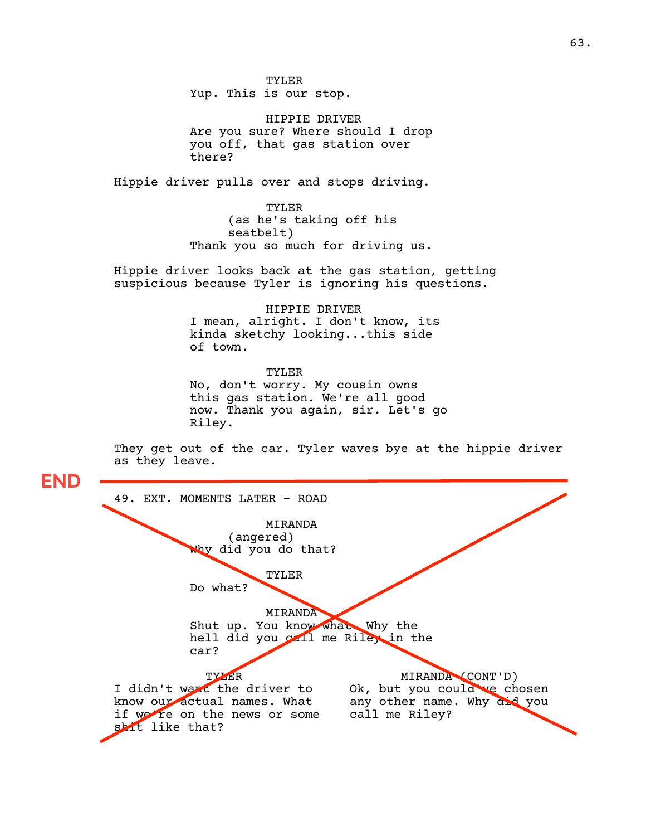TYLER Yup. This is our stop.

HIPPIE DRIVER Are you sure? Where should I drop you off, that gas station over there?

Hippie driver pulls over and stops driving.

TYLER (as he's taking off his seatbelt) Thank you so much for driving us.

Hippie driver looks back at the gas station, getting suspicious because Tyler is ignoring his questions.

> HIPPIE DRIVER I mean, alright. I don't know, its kinda sketchy looking...this side of town.

TYLER No, don't worry. My cousin owns this gas station. We're all good now. Thank you again, sir. Let's go Riley.

They get out of the car. Tyler waves bye at the hippie driver as they leave.

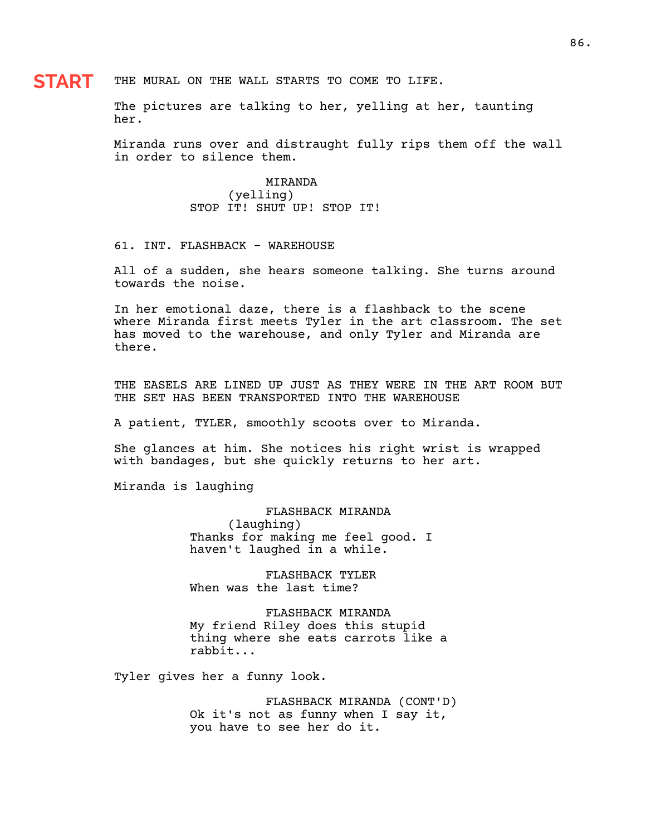# **START** THE MURAL ON THE WALL STARTS TO COME TO LIFE.

The pictures are talking to her, yelling at her, taunting her.

Miranda runs over and distraught fully rips them off the wall in order to silence them.

> MIRANDA (yelling) STOP IT! SHUT UP! STOP IT!

61. INT. FLASHBACK - WAREHOUSE

All of a sudden, she hears someone talking. She turns around towards the noise.

In her emotional daze, there is a flashback to the scene where Miranda first meets Tyler in the art classroom. The set has moved to the warehouse, and only Tyler and Miranda are there.

THE EASELS ARE LINED UP JUST AS THEY WERE IN THE ART ROOM BUT THE SET HAS BEEN TRANSPORTED INTO THE WAREHOUSE

A patient, TYLER, smoothly scoots over to Miranda.

She glances at him. She notices his right wrist is wrapped with bandages, but she quickly returns to her art.

Miranda is laughing

FLASHBACK MIRANDA (laughing) Thanks for making me feel good. I haven't laughed in a while.

FLASHBACK TYLER When was the last time?

FLASHBACK MIRANDA My friend Riley does this stupid thing where she eats carrots like a rabbit...

Tyler gives her a funny look.

FLASHBACK MIRANDA (CONT'D) Ok it's not as funny when I say it, you have to see her do it.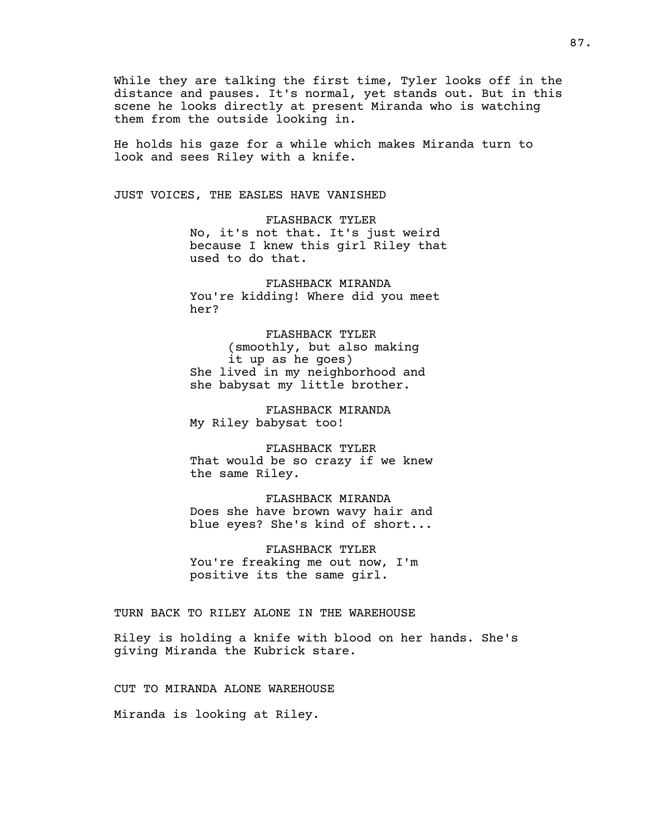While they are talking the first time, Tyler looks off in the distance and pauses. It's normal, yet stands out. But in this scene he looks directly at present Miranda who is watching them from the outside looking in.

He holds his gaze for a while which makes Miranda turn to look and sees Riley with a knife.

JUST VOICES, THE EASLES HAVE VANISHED

FLASHBACK TYLER No, it's not that. It's just weird because I knew this girl Riley that used to do that.

FLASHBACK MIRANDA You're kidding! Where did you meet her?

FLASHBACK TYLER (smoothly, but also making it up as he goes) She lived in my neighborhood and she babysat my little brother.

FLASHBACK MIRANDA My Riley babysat too!

FLASHBACK TYLER That would be so crazy if we knew the same Riley.

FLASHBACK MIRANDA Does she have brown wavy hair and blue eyes? She's kind of short...

FLASHBACK TYLER You're freaking me out now, I'm positive its the same girl.

### TURN BACK TO RILEY ALONE IN THE WAREHOUSE

Riley is holding a knife with blood on her hands. She's giving Miranda the Kubrick stare.

CUT TO MIRANDA ALONE WAREHOUSE

Miranda is looking at Riley.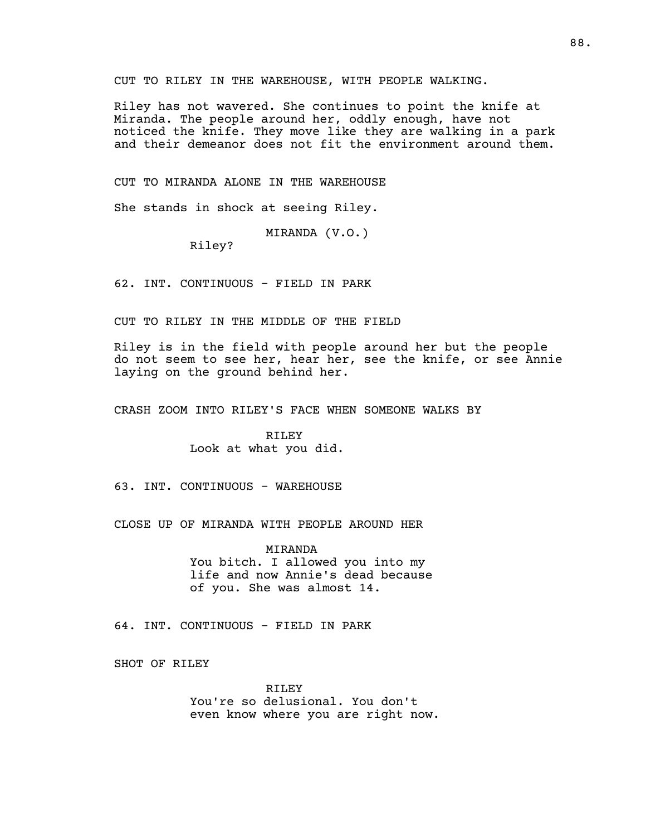CUT TO RILEY IN THE WAREHOUSE, WITH PEOPLE WALKING.

Riley has not wavered. She continues to point the knife at Miranda. The people around her, oddly enough, have not noticed the knife. They move like they are walking in a park and their demeanor does not fit the environment around them.

CUT TO MIRANDA ALONE IN THE WAREHOUSE

She stands in shock at seeing Riley.

MIRANDA (V.O.)

Riley?

62. INT. CONTINUOUS - FIELD IN PARK

CUT TO RILEY IN THE MIDDLE OF THE FIELD

Riley is in the field with people around her but the people do not seem to see her, hear her, see the knife, or see Annie laying on the ground behind her.

CRASH ZOOM INTO RILEY'S FACE WHEN SOMEONE WALKS BY

RILEY Look at what you did.

63. INT. CONTINUOUS - WAREHOUSE

CLOSE UP OF MIRANDA WITH PEOPLE AROUND HER

MIRANDA You bitch. I allowed you into my life and now Annie's dead because of you. She was almost 14.

64. INT. CONTINUOUS - FIELD IN PARK

SHOT OF RILEY

RILEY You're so delusional. You don't even know where you are right now.